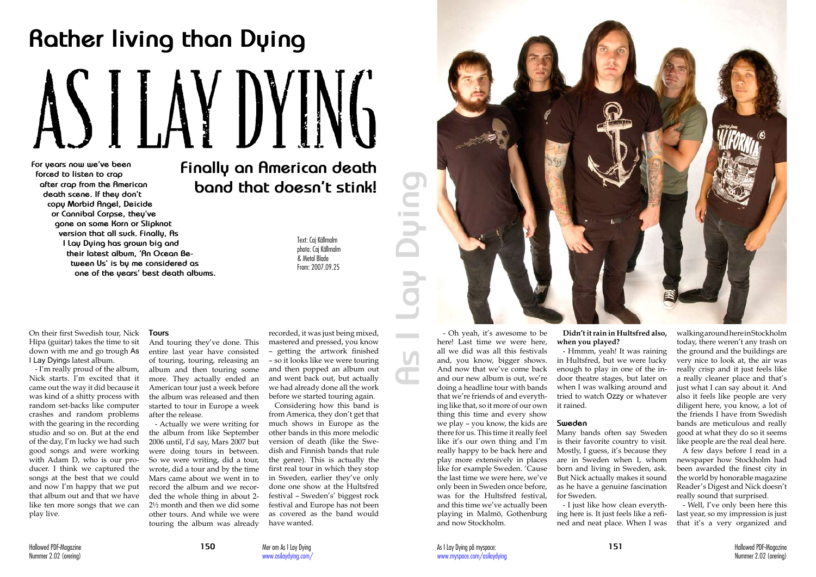On their first Swedish tour, Nick Hipa (guitar) takes the time to sit down with me and go trough As I Lay Dyings latest album.

- I'm really proud of the album, Nick starts. I'm excited that it came out the way it did because it was kind of a shitty process with random set-backs like computer crashes and random problems with the gearing in the recording studio and so on. But at the end of the day, I'm lucky we had such good songs and were working with Adam D, who is our producer. I think we captured the songs at the best that we could and now I'm happy that we put that album out and that we have like ten more songs that we can play live.

**For years now we've been forced to listen to crap after crap from the American death scene. If they don't copy Morbid Angel, Deicide or Cannibal Corpse, they've gone on some Korn or Slipknot version that all suck. Finally, As I Lay Dying has grown big and their latest album, 'An Ocean Between Us' is by me considered as one of the years' best death albums.**

### **Tours**

And touring they've done. This entire last year have consisted of touring, touring, releasing an album and then touring some more. They actually ended an American tour just a week before the album was released and then started to tour in Europe a week after the release.

- Actually we were writing for the album from like September 2006 until, I'd say, Mars 2007 but were doing tours in between. So we were writing, did a tour, wrote, did a tour and by the time Mars came about we went in to record the album and we recorded the whole thing in about 2- 2½ month and then we did some other tours. And while we were touring the album was already

recorded, it was just being mixed, mastered and pressed, you know – getting the artwork finished – so it looks like we were touring and then popped an album out and went back out, but actually we had already done all the work before we started touring again.

Considering how this band is from America, they don't get that much shows in Europe as the other bands in this more melodic version of death (like the Swedish and Finnish bands that rule the genre). This is actually the first real tour in which they stop in Sweden, earlier they've only done one show at the Hultsfred festival – Sweden's' biggest rock festival and Europe has not been as covered as the band would have wanted.

and, you know, bigger shows. And now that we've come back and our new album is out, we're doing a headline tour with bands that we're friends of and everything like that, so it more of our own thing this time and every show we play – you know, the kids are there for us. This time it really feel like it's our own thing and I'm really happy to be back here and play more extensively in places like for example Sweden. 'Cause the last time we were here, we've only been in Sweden once before, was for the Hultsfred festival, and this time we've actually been playing in Malmö, Gothenburg and now Stockholm.



**Didn't it rain in Hultsfred also, when you played?**

- Hmmm, yeah! It was raining in Hultsfred, but we were lucky enough to play in one of the indoor theatre stages, but later on when I was walking around and tried to watch Ozzy or whatever it rained.

### **Sweden**

Many bands often say Sweden is their favorite country to visit. Mostly, I guess, it's because they are in Sweden when I, whom born and living in Sweden, ask. But Nick actually makes it sound as he have a genuine fascination for Sweden.

- Oh yeah, it's awesome to be here! Last time we were here, all we did was all this festivals **As I Lay Dying**

 $\mathbf{C}$ 

 $\overline{\phantom{0}}$  $\bullet$  mass  $\bullet$ **COLLECTION** 

> - I just like how clean everything here is. It just feels like a refined and neat place. When I was

walking around here in Stockholm today, there weren't any trash on the ground and the buildings are very nice to look at, the air was really crisp and it just feels like a really cleaner place and that's just what I can say about it. And also it feels like people are very diligent here, you know, a lot of the friends I have from Swedish bands are meticulous and really good at what they do so it seems like people are the real deal here.

A few days before I read in a newspaper how Stockholm had been awarded the finest city in the world by honorable magazine Reader's Digest and Nick doesn't really sound that surprised.

- Well, I've only been here this last year, so my impression is just that it's a very organized and

# **Rather living than Dying**

# **Finally an American death band that doesn't stink!**

Text: Caj Källmalm photo: Caj Källmalm & Metal Blade From: 2007.09.25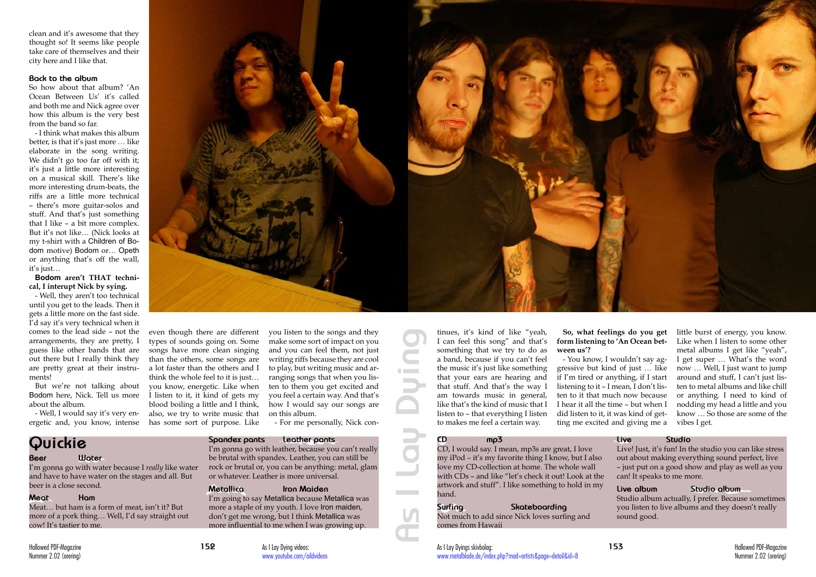Hallowed PDF-Magazine **152** Nummer 2.02 (orering)

clean and it's awesome that they thought so! It seems like people take care of themselves and their city here and I like that.

### **Back to the album**

So how about that album? 'An Ocean Between Us' it's called and both me and Nick agree over how this album is the very best from the band so far.

- I think what makes this album better, is that it's just more … like elaborate in the song writing. We didn't go too far off with it; it's just a little more interesting on a musical skill. There's like more interesting drum-beats, the riffs are a little more technical – there's more guitar-solos and stuff. And that's just something that I like – a bit more complex. But it's not like… (Nick looks at my t-shirt with a Children of Bodom motive) Bodom or… Opeth or anything that's off the wall, it's just…

### **Bodom aren't THAT technical, I interupt Nick by sying.**

- Well, they aren't too technical until you get to the leads. Then it gets a little more on the fast side. I'd say it's very technical when it comes to the lead side – not the arrangements, they are pretty, I guess like other bands that are out there but I really think they are pretty great at their instruments!

But we're not talking about Bodom here, Nick. Tell us more about the album.

- Well, I would say it's very energetic and, you know, intense



even though there are different types of sounds going on. Some songs have more clean singing than the others, some songs are a lot faster than the others and I think the whole feel to it is just… you know, energetic. Like when I listen to it, it kind of gets my blood boiling a little and I think, also, we try to write music that has some sort of purpose. Like

you listen to the songs and they make some sort of impact on you and you can feel them, not just writing riffs because they are cool to play, but writing music and arranging songs that when you listen to them you get excited and you feel a certain way. And that's how I would say our songs are on this album.

- For me personally, Nick con-

tinues, it's kind of like "yeah, **As I Lay Dying** I can feel this song" and that's something that we try to do as a band, because if you can't feel  $\sim$ the music it's just like something  $\sim$ that your ears are hearing and that stuff. And that's the way I am towards music in general, like that's the kind of music that I listen to – that everything I listen to makes me feel a certain way.

### **So, what feelings do you get form listening to 'An Ocean between us'?**

- You know, I wouldn't say aggressive but kind of just … like if I'm tired or anything, if I start listening to it – I mean, I don't listen to it that much now because I hear it all the time – but when I did listen to it, it was kind of getting me excited and giving me a

little burst of energy, you know. Like when I listen to some other metal albums I get like "yeah", I get super … What's the word now … Well, I just want to jump around and stuff, I can't just listen to metal albums and like chill or anything. I need to kind of nodding my head a little and you know … So those are some of the vibes I get.

# **Quickie**

### **Beer Water**

I'm gonna go with water because I *really* like water and have to have water on the stages and all. But beer is a close second.

### **Meat Ham**

Meat… but ham is a form of meat, isn't it? But more of a pork thing… Well, I'd say straight out cow! It's tastier to me.

# **Spandex pants Leather pants**

### I'm gonna go with leather, because you can't really be brutal with spandex. Leather, you can still be rock or brutal or, you can be anything: metal, glam or whatever. Leather is more universal.

# **Metallica Iron Maiden**

I'm going to say Metallica because Metallica was more a staple of my youth. I love Iron maiden, don't get me wrong, but I think Metallica was more influential to me when I was growing up.

# **CD mp3**

CD, I would say. I mean, mp3s are great, I love my iPod – it's my favorite thing I know, but I also love my CD-collection at home. The whole wall with CDs – and like "let's check it out! Look at the artwork and stuff". I like something to hold in my hand.

# **Surfing Skateboarding**

Not much to add since Nick loves surfing and comes from Hawaii

### **Live Studio**

Live! Just, it's fun! In the studio you can like stress out about making everything sound perfect, live – just put on a good show and play as well as you can! It speaks to me more.

### **Live album Studio album**

Studio album actually, I prefer. Because sometimes you listen to live albums and they doesn't really sound good.

As I Lay Dying videos: www.youtube.com/aildvideos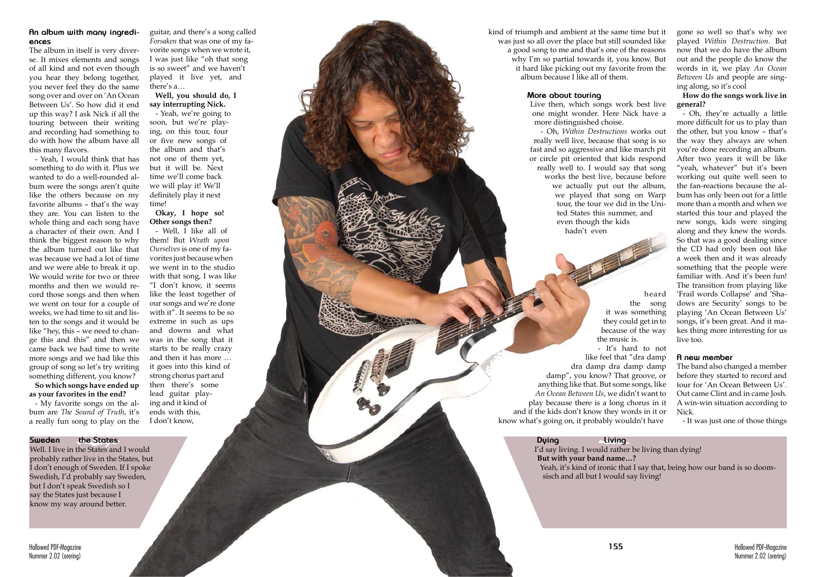

# **An album with many ingredi ences**

The album in itself is very diver se. It mixes elements and songs of all kind and not even though you hear they belong together, you never feel they do the same song over and over on 'An Ocean Between Us'. So how did it end up this way? I ask Nick if all the touring between their writing and recording had something to do with how the album have all this many flavors.

- Yeah, I would think that has something to do with it. Plus we wanted to do a well-rounded al bum were the songs aren't quite like the others because on my favorite albums – that's the way they are. You can listen to the whole thing and each song have a character of their own. And I think the biggest reason to why the album turned out like that was because we had a lot of time and we were able to break it up. We would write for two or three months and then we would re cord those songs and then when we went on tour for a couple of weeks, we had time to sit and lis ten to the songs and it would be like "hey, this – we need to chan ge this and this" and then we came back we had time to write more songs and we had like this group of song so let's try writing something different, you know?

**So which songs have ended up as your favorites in the end?**

- My favorite songs on the al bum are *The Sound of Truth*, it's a really fun song to play on the gone so well so that's why we played *Within Destruction*. But now that we do have the album out and the people do know the words in it, we play *An Ocean Between Us* and people are sing ing along, so it's cool

### **How do the songs work live in general?**

kind of triumph and ambient at the same time but it was just so all over the place but still sounded like a good song to me and that's one of the reasons why I'm so partial towards it, you know. But it hard like picking out my favorite from the album because I like all of them.

> - Oh, they're actually a little more difficult for us to play than the other, but you know – that's the way they always are when you're done recording an album. After two years it will be like "yeah, whatever" but it's been working out quite well seen to the fan-reactions because the al bum has only been out for a little more than a month and when we started this tour and played the new songs, kids were singing along and they knew the words. So that was a good dealing since the CD had only been out like a week then and it was already something that the people were familiar with. And it's been fun! The transition from playing like 'Frail words Collapse' and 'Sha dows are Security' songs to be playing 'An Ocean Between Us' songs, it's been great. And it ma kes thing more interesting for us live too.

### **A new member**

The band also changed a member before they started to record and tour for 'An Ocean Between Us'. Out came Clint and in came Josh. A win-win situation according to Nick.

- It was just one of those things

guitar, and there's a song called *Forsaken* that was one of my fa vorite songs when we wrote it, I was just like "oh that song is so sweet" and we haven't played it live yet, and there's a…

### **Well, you should do, I say interrupting Nick.**

- Yeah, we're going to soon, but we're play ing, on this tour, four or five new songs of the album and that's not one of them yet, but it will be. Next time we'll come back we will play it! We'll definitely play it next time!

### **Okay, I hope so! Other songs then?**

- Well, I like all of them! But *Wrath upon Ourselves* is one of my fa vorites just because when we went in to the studio with that song, I was like "I don't know, it seems like the least together of our songs and we're done with it". It seems to be so extreme in such as ups and downs and what was in the song that it starts to be really crazy and then it has more … it goes into this kind of strong chorus part and then there's some lead guitar play ing and it kind of ends with this, I don't know,

### **More about touring**

Live then, which songs work best live one might wonder. Here Nick have a more distinguished choise. - Oh, *Within Destructions* works out really well live, because that song is so fast and so aggressive and like march pit or circle pit oriented that kids respond really well to. I would say that song works the best live, because before we actually put out the album, we played that song on Warp tour, the tour we did in the Uni ted States this summer, and even though the kids hadn't even

heard the song it was something they could get in to because of the way the music is. - It's hard to not like feel that "dra damp dra damp dra damp damp damp", you know? That groove, or anything like that. But some songs, like *An Ocean Between Us*, we didn't want to play because there is a long chorus in it and if the kids don't know they words in it or know what's going on, it probably wouldn't have

### **Sweden the States**

Well. I live in the States and I would probably rather live in the States, but I don't enough of Sweden. If I spoke Swedish, I'd probably say Sweden, but I don't speak Swedish so I say the States just because I know my way around better.

### **Dying Living**

I'd say living. I would rather be living than dying! **But with your band name…?** Yeah, it's kind of ironic that I say that, being how our band is so doomsisch and all but I would say living!